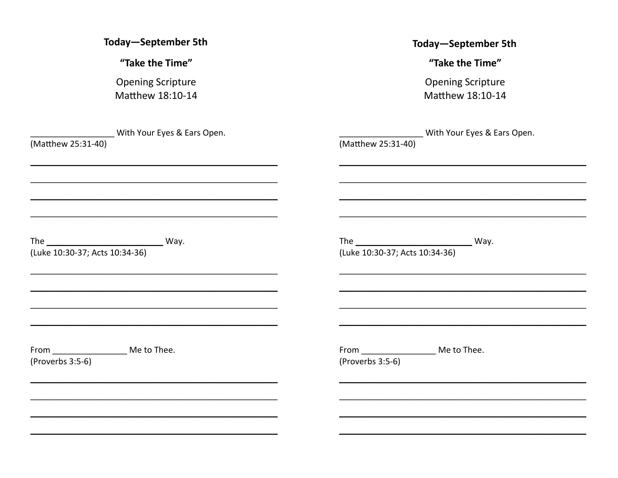| <b>Today-September 5th</b>     | <b>Today-September 5th</b>     |
|--------------------------------|--------------------------------|
| "Take the Time"                | "Take the Time"                |
| <b>Opening Scripture</b>       | <b>Opening Scripture</b>       |
| Matthew 18:10-14               | Matthew 18:10-14               |
| With Your Eyes & Ears Open.    | With Your Eyes & Ears Open.    |
| (Matthew 25:31-40)             | (Matthew 25:31-40)             |
|                                |                                |
|                                |                                |
| (Luke 10:30-37; Acts 10:34-36) | (Luke 10:30-37; Acts 10:34-36) |
| From Me to Thee.               | From Me to Thee.               |
| (Proverbs 3:5-6)               | (Proverbs 3:5-6)               |
|                                |                                |